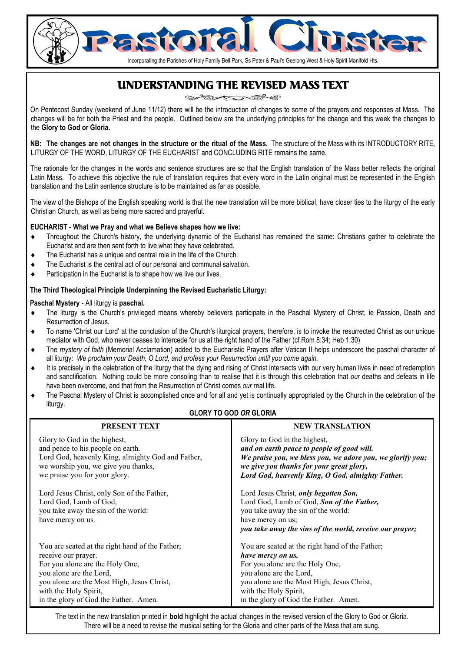# Incorporating the Parishes of Holy Family Bell Park, Ss Peter & Paul's Geelong West & Holy Spirit Manifold Hts.

# UNDERSTANDING THE REVISED MASS TEXT

On Pentecost Sunday (weekend of June 11/12) there will be the introduction of changes to some of the prayers and responses at Mass. The changes will be for both the Priest and the people. Outlined below are the underlying principles for the change and this week the changes to the **Glory to God or Gloria.**

**NB: The changes are not changes in the structure or the ritual of the Mass.** The structure of the Mass with its INTRODUCTORY RITE, LITURGY OF THE WORD, LITURGY OF THE EUCHARIST and CONCLUDING RITE remains the same.

The rationale for the changes in the words and sentence structures are so that the English translation of the Mass better reflects the original Latin Mass. To achieve this objective the rule of translation requires that every word in the Latin original must be represented in the English translation and the Latin sentence structure is to be maintained as far as possible.

The view of the Bishops of the English speaking world is that the new translation will be more biblical, have closer ties to the liturgy of the early Christian Church, as well as being more sacred and prayerful.

#### **EUCHARIST - What we Pray and what we Believe shapes how we live:**

- Throughout the Church's history, the underlying dynamic of the Eucharist has remained the same: Christians gather to celebrate the Eucharist and are then sent forth to live what they have celebrated.
- The Eucharist has a unique and central role in the life of the Church.
- The Eucharist is the central act of our personal and communal salvation.
- Participation in the Eucharist is to shape how we live our lives.

#### **The Third Theological Principle Underpinning the Revised Eucharistic Liturgy:**

#### **Paschal Mystery** - All liturgy is **paschal.**

- The liturgy is the Church's privileged means whereby believers participate in the Paschal Mystery of Christ, ie Passion, Death and Resurrection of Jesus.
- To name 'Christ our Lord' at the conclusion of the Church's liturgical prayers, therefore, is to invoke the resurrected Christ as our unique mediator with God, who never ceases to intercede for us at the right hand of the Father (cf Rom 8:34; Heb 1:30)
- The *mystery of faith* (Memorial Acclamation) added to the Eucharistic Prayers after Vatican II helps underscore the paschal character of all liturgy: *We proclaim your Death, O Lord, and profess your Resurrection until you come again.*
- It is precisely in the celebration of the liturgy that the dying and rising of Christ intersects with our very human lives in need of redemption and sanctification. Nothing could be more consoling than to realise that it is through this celebration that *our* deaths and defeats in life have been overcome, and that from the Resurrection of Christ comes *our* real life.
- The Paschal Mystery of Christ is accomplished once and for all and yet is continually appropriated by the Church in the celebration of the liturgy.

#### **GLORY TO GOD** *OR* **GLORIA**

| <b>PRESENT TEXT</b>                                                                                                              | <b>NEW TRANSLATION</b>                                                                                                                                                                                     |
|----------------------------------------------------------------------------------------------------------------------------------|------------------------------------------------------------------------------------------------------------------------------------------------------------------------------------------------------------|
| Glory to God in the highest,                                                                                                     | Glory to God in the highest,                                                                                                                                                                               |
| and peace to his people on earth.                                                                                                | and on earth peace to people of good will.                                                                                                                                                                 |
| Lord God, heavenly King, almighty God and Father,                                                                                | We praise you, we bless you, we adore you, we glorify you;                                                                                                                                                 |
| we worship you, we give you thanks,                                                                                              | we give you thanks for your great glory,                                                                                                                                                                   |
| we praise you for your glory.                                                                                                    | Lord God, heavenly King, O God, almighty Father.                                                                                                                                                           |
| Lord Jesus Christ, only Son of the Father,<br>Lord God, Lamb of God,<br>you take away the sin of the world:<br>have mercy on us. | Lord Jesus Christ, only begotten Son,<br>Lord God, Lamb of God, Son of the Father,<br>you take away the sin of the world:<br>have mercy on us;<br>you take away the sins of the world, receive our prayer; |
| You are seated at the right hand of the Father;                                                                                  | You are seated at the right hand of the Father;                                                                                                                                                            |
| receive our prayer.                                                                                                              | have mercy on us.                                                                                                                                                                                          |
| For you alone are the Holy One,                                                                                                  | For you alone are the Holy One,                                                                                                                                                                            |
| you alone are the Lord,                                                                                                          | you alone are the Lord,                                                                                                                                                                                    |
| you alone are the Most High, Jesus Christ,                                                                                       | you alone are the Most High, Jesus Christ,                                                                                                                                                                 |
| with the Holy Spirit,                                                                                                            | with the Holy Spirit,                                                                                                                                                                                      |
| in the glory of God the Father. Amen.                                                                                            | in the glory of God the Father. Amen.                                                                                                                                                                      |

The text in the new translation printed in **bold** highlight the actual changes in the revised version of the Glory to God or Gloria. There will be a need to revise the musical setting for the Gloria and other parts of the Mass that are sung.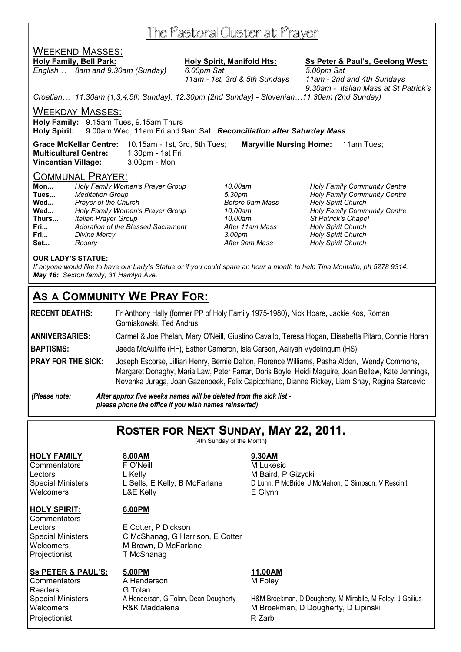# The Pastoral Cluster at Prayer

## WEEKEND MASSES:

*English… 8am and 9.30am (Sunday) 6.00pm Sat 5.00pm Sat* 

**Holy Family, Bell Park: Holy Spirit, Manifold Hts: Ss Peter & Paul's, Geelong West:**

 *11am - 1st, 3rd & 5th Sundays 11am - 2nd and 4th Sundays 9.30am - Italian Mass at St Patrick's* 

*Croatian… 11.30am (1,3,4,5th Sunday), 12.30pm (2nd Sunday) - Slovenian…11.30am (2nd Sunday)* 

WEEKDAY MASSES:

**Holy Family:** 9.15am Tues, 9.15am Thurs

**Holy Spirit:** 9.00am Wed, 11am Fri and 9am Sat. *Reconciliation after Saturday Mass* 

**Grace McKellar Centre:** 10.15am - 1st, 3rd, 5th Tues; **Maryville Nursing Home:** 11am Tues; **Multicultural Centre:** 1.30pm - 1st Fri **Vincentian Village:** 3.00pm - Mon

#### COMMUNAL PRAYER:

| Mon                             | Holy Family Women's Prayer Group   | 10.00am         | <b>Holy Family Community Centre</b> |  |
|---------------------------------|------------------------------------|-----------------|-------------------------------------|--|
| <b>Meditation Group</b><br>Tues |                                    | 5.30pm          | <b>Holy Family Community Centre</b> |  |
| Prayer of the Church<br>Wed     |                                    | Before 9am Mass | <b>Holy Spirit Church</b>           |  |
| Wed                             | Holy Family Women's Prayer Group   | 10.00am         | <b>Holy Family Community Centre</b> |  |
| Thurs                           | Italian Prayer Group               | 10.00am         | St Patrick's Chapel                 |  |
| Fri                             | Adoration of the Blessed Sacrament | After 11am Mass | <b>Holy Spirit Church</b>           |  |
| Fri                             | Divine Mercy                       | 3.00pm          | <b>Holy Spirit Church</b>           |  |
| Sat                             | Rosary                             | After 9am Mass  | <b>Holy Spirit Church</b>           |  |

#### **OUR LADY'S STATUE:**

*If anyone would like to have our Lady's Statue or if you could spare an hour a month to help Tina Montalto, ph 5278 9314. May 16: Sexton family, 31 Hamlyn Ave.* 

# **AS A COMMUNITY WE PRAY FOR:**

**RECENT DEATHS:** Fr Anthony Hally (former PP of Holy Family 1975-1980), Nick Hoare, Jackie Kos, Roman Gorniakowski, Ted Andrus

**ANNIVERSARIES:** Carmel & Joe Phelan, Mary O'Neill, Giustino Cavallo, Teresa Hogan, Elisabetta Pitaro, Connie Horan

**BAPTISMS:** Jaeda McAuliffe (HF), Esther Cameron, Isla Carson, Aaliyah Vydelingum (HS)

**PRAY FOR THE SICK:** Joseph Escorse, Jillian Henry, Bernie Dalton, Florence Williams, Pasha Alden, Wendy Commons, Margaret Donaghy, Maria Law, Peter Farrar, Doris Boyle, Heidi Maguire, Joan Bellew, Kate Jennings, Nevenka Juraga, Joan Gazenbeek, Felix Capicchiano, Dianne Rickey, Liam Shay, Regina Starcevic

*(Please note: After approx five weeks names will be deleted from the sick list please phone the office if you wish names reinserted)* 

**ROSTER FOR NEXT SUNDAY, MAY 22, 2011.**

(4th Sunday of the Month**)** 

**HOLY FAMILY 8.00AM 9.30AM**

Commentators **F** O'Neill **M** Lukesic Lectors L Kelly **Contained A L Kelly** M Baird, P Gizycki Welcomers L&E Kelly **E Glynn** 

#### **HOLY SPIRIT: 6.00PM**

**Commentators** 

Readers **G Tolan** 

Lectors E Cotter, P Dickson Special Ministers C McShanag, G Harrison, E Cotter Welcomers M Brown, D McFarlane<br>Projectionist T McShanag **T McShanag** 

**Ss PETER & PAUL'S: 5.00PM 11.00AM Commentators** A Henderson M Foley Projectionist **R** Zarb

Special Ministers L Sells, E Kelly, B McFarlane D Lunn, P McBride, J McMahon, C Simpson, V Resciniti

Special Ministers A Henderson, G Tolan, Dean Dougherty H&M Broekman, D Dougherty, M Mirabile, M Foley, J Gailius<br>Welcomers R&K Maddalena M Broekman, D Dougherty, D Lipinski Welcomers **R&K Maddalena** M Broekman, D Dougherty, D Lipinski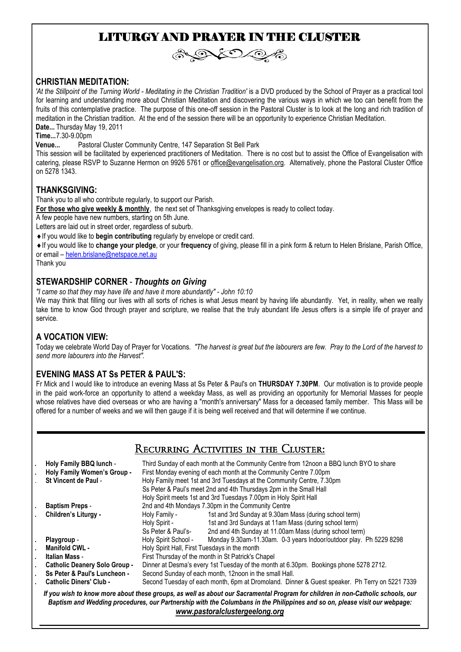# LITURGY AND PRAYER IN THE CLUSTER



#### **CHRISTIAN MEDITATION:**

'At the Stillpoint of the Turning World - Meditating in the Christian Tradition' is a DVD produced by the School of Prayer as a practical tool for learning and understanding more about Christian Meditation and discovering the various ways in which we too can benefit from the fruits of this contemplative practice. The purpose of this one-off session in the Pastoral Cluster is to look at the long and rich tradition of meditation in the Christian tradition. At the end of the session there will be an opportunity to experience Christian Meditation. **Date...** Thursday May 19, 2011

**Time...7.30-9.00pm**<br>**Venue...** Pasto Pastoral Cluster Community Centre, 147 Separation St Bell Park

This session will be facilitated by experienced practitioners of Meditation. There is no cost but to assist the Office of Evangelisation with catering, please RSVP to Suzanne Hermon on 9926 5761 or office@evangelisation.org. Alternatively, phone the Pastoral Cluster Office on 5278 1343.

#### **THANKSGIVING:**

Thank you to all who contribute regularly, to support our Parish.

**For those who give weekly & monthly**, the next set of Thanksgiving envelopes is ready to collect today.

A few people have new numbers, starting on 5th June.

Letters are laid out in street order, regardless of suburb.

♦If you would like to **begin contributing** regularly by envelope or credit card.

♦If you would like to **change your pledge**, or your **frequency** of giving, please fill in a pink form & return to Helen Brislane, Parish Office, or email – helen.brislane@netspace.net.au

Thank you

#### **STEWARDSHIP CORNER** - *Thoughts on Giving*

*"I came so that they may have life and have it more abundantly" - John 10:10* 

We may think that filling our lives with all sorts of riches is what Jesus meant by having life abundantly. Yet, in reality, when we really take time to know God through prayer and scripture, we realise that the truly abundant life Jesus offers is a simple life of prayer and service.

#### **A VOCATION VIEW:**

Today we celebrate World Day of Prayer for Vocations. *"The harvest is great but the labourers are few. Pray to the Lord of the harvest to send more labourers into the Harvest".* 

#### **EVENING MASS AT Ss PETER & PAUL'S:**

Fr Mick and I would like to introduce an evening Mass at Ss Peter & Paul's on **THURSDAY 7.30PM**. Our motivation is to provide people in the paid work-force an opportunity to attend a weekday Mass, as well as providing an opportunity for Memorial Masses for people whose relatives have died overseas or who are having a "month's anniversary" Mass for a deceased family member. This Mass will be offered for a number of weeks and we will then gauge if it is being well received and that will determine if we continue.

## Recurring Activities in the Cluster:

|                                                                                                                                                                                                                                                                                                 | Holy Family BBQ lunch -<br>Holy Family Women's Group -<br><b>St Vincent de Paul -</b> | Third Sunday of each month at the Community Centre from 12noon a BBQ lunch BYO to share<br>First Monday evening of each month at the Community Centre 7.00pm<br>Holy Family meet 1st and 3rd Tuesdays at the Community Centre, 7.30pm<br>Ss Peter & Paul's meet 2nd and 4th Thursdays 2pm in the Small Hall<br>Holy Spirit meets 1st and 3rd Tuesdays 7.00pm in Holy Spirit Hall |                                                                    |  |
|-------------------------------------------------------------------------------------------------------------------------------------------------------------------------------------------------------------------------------------------------------------------------------------------------|---------------------------------------------------------------------------------------|----------------------------------------------------------------------------------------------------------------------------------------------------------------------------------------------------------------------------------------------------------------------------------------------------------------------------------------------------------------------------------|--------------------------------------------------------------------|--|
|                                                                                                                                                                                                                                                                                                 | <b>Baptism Preps -</b>                                                                | 2nd and 4th Mondays 7.30pm in the Community Centre                                                                                                                                                                                                                                                                                                                               |                                                                    |  |
|                                                                                                                                                                                                                                                                                                 | Children's Liturgy -                                                                  | Holy Family -                                                                                                                                                                                                                                                                                                                                                                    | 1st and 3rd Sunday at 9.30am Mass (during school term)             |  |
|                                                                                                                                                                                                                                                                                                 |                                                                                       | Holy Spirit -                                                                                                                                                                                                                                                                                                                                                                    | 1st and 3rd Sundays at 11am Mass (during school term)              |  |
|                                                                                                                                                                                                                                                                                                 |                                                                                       | Ss Peter & Paul's-                                                                                                                                                                                                                                                                                                                                                               | 2nd and 4th Sunday at 11.00am Mass (during school term)            |  |
| ٠                                                                                                                                                                                                                                                                                               | Playgroup -                                                                           | Holy Spirit School -                                                                                                                                                                                                                                                                                                                                                             | Monday 9.30am-11.30am. 0-3 years Indoor/outdoor play. Ph 5229 8298 |  |
|                                                                                                                                                                                                                                                                                                 | <b>Manifold CWL -</b>                                                                 | Holy Spirit Hall, First Tuesdays in the month                                                                                                                                                                                                                                                                                                                                    |                                                                    |  |
|                                                                                                                                                                                                                                                                                                 | Italian Mass -                                                                        | First Thursday of the month in St Patrick's Chapel                                                                                                                                                                                                                                                                                                                               |                                                                    |  |
|                                                                                                                                                                                                                                                                                                 | <b>Catholic Deanery Solo Group -</b>                                                  | Dinner at Desma's every 1st Tuesday of the month at 6.30pm. Bookings phone 5278 2712.                                                                                                                                                                                                                                                                                            |                                                                    |  |
|                                                                                                                                                                                                                                                                                                 | Ss Peter & Paul's Luncheon -                                                          | Second Sunday of each month, 12noon in the small Hall.                                                                                                                                                                                                                                                                                                                           |                                                                    |  |
|                                                                                                                                                                                                                                                                                                 | <b>Catholic Diners' Club -</b>                                                        | Second Tuesday of each month, 6pm at Dromoland. Dinner & Guest speaker. Ph Terry on 5221 7339                                                                                                                                                                                                                                                                                    |                                                                    |  |
| If you wish to know more about these groups, as well as about our Sacramental Program for children in non-Catholic schools, our<br>Baptism and Wedding procedures, our Partnership with the Columbans in the Philippines and so on, please visit our webpage:<br>www.pastoralclustergeelong.org |                                                                                       |                                                                                                                                                                                                                                                                                                                                                                                  |                                                                    |  |

*\_\_\_\_\_\_\_\_\_\_\_\_\_\_\_\_\_\_\_\_\_\_\_\_\_\_\_\_\_\_\_\_\_\_\_\_\_\_\_\_\_\_\_\_\_\_\_\_\_\_\_\_\_\_\_\_\_\_\_\_\_\_\_\_\_\_\_\_\_\_\_\_\_\_\_\_\_\_\_\_\_\_\_\_\_\_\_\_\_\_\_\_\_\_\_\_\_\_*